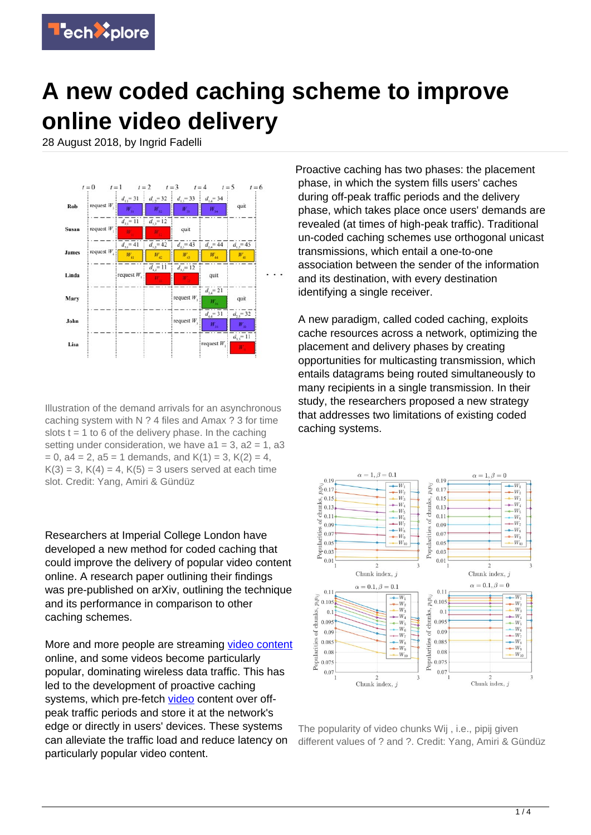

## **A new coded caching scheme to improve online video delivery**

28 August 2018, by Ingrid Fadelli



Illustration of the demand arrivals for an asynchronous caching system with N ? 4 files and Amax ? 3 for time slots  $t = 1$  to 6 of the delivery phase. In the caching setting under consideration, we have  $a1 = 3$ ,  $a2 = 1$ ,  $a3$  $= 0$ , a4  $= 2$ , a5  $= 1$  demands, and K(1)  $= 3$ , K(2)  $= 4$ ,  $K(3) = 3, K(4) = 4, K(5) = 3$  users served at each time slot. Credit: Yang, Amiri & Gündüz

Researchers at Imperial College London have developed a new method for coded caching that could improve the delivery of popular video content online. A research paper outlining their findings was pre-published on arXiv, outlining the technique and its performance in comparison to other caching schemes.

More and more people are streaming [video content](https://techxplore.com/tags/video+content/) online, and some videos become particularly popular, dominating wireless data traffic. This has led to the development of proactive caching systems, which pre-fetch [video](https://techxplore.com/tags/video/) content over offpeak traffic periods and store it at the network's edge or directly in users' devices. These systems can alleviate the traffic load and reduce latency on particularly popular video content.

Proactive caching has two phases: the placement phase, in which the system fills users' caches during off-peak traffic periods and the delivery phase, which takes place once users' demands are revealed (at times of high-peak traffic). Traditional un-coded caching schemes use orthogonal unicast transmissions, which entail a one-to-one association between the sender of the information and its destination, with every destination identifying a single receiver.

A new paradigm, called coded caching, exploits cache resources across a network, optimizing the placement and delivery phases by creating opportunities for multicasting transmission, which entails datagrams being routed simultaneously to many recipients in a single transmission. In their study, the researchers proposed a new strategy that addresses two limitations of existing coded caching systems.



The popularity of video chunks Wij , i.e., pipij given different values of ? and ?. Credit: Yang, Amiri & Gündüz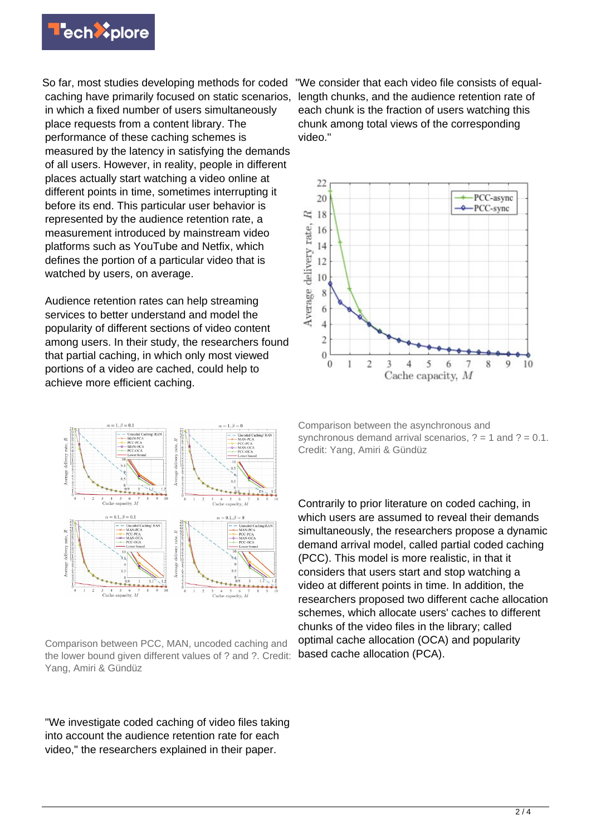

So far, most studies developing methods for coded caching have primarily focused on static scenarios, in which a fixed number of users simultaneously place requests from a content library. The performance of these caching schemes is measured by the latency in satisfying the demands of all users. However, in reality, people in different places actually start watching a video online at different points in time, sometimes interrupting it before its end. This particular user behavior is represented by the audience retention rate, a measurement introduced by mainstream video platforms such as YouTube and Netfix, which defines the portion of a particular video that is watched by users, on average.

Audience retention rates can help streaming services to better understand and model the popularity of different sections of video content among users. In their study, the researchers found that partial caching, in which only most viewed portions of a video are cached, could help to achieve more efficient caching.



Comparison between PCC, MAN, uncoded caching and the lower bound given different values of ? and ?. Credit: Yang, Amiri & Gündüz

"We investigate coded caching of video files taking into account the audience retention rate for each video," the researchers explained in their paper.

"We consider that each video file consists of equallength chunks, and the audience retention rate of each chunk is the fraction of users watching this chunk among total views of the corresponding video."



Comparison between the asynchronous and synchronous demand arrival scenarios,  $? = 1$  and  $? = 0.1$ . Credit: Yang, Amiri & Gündüz

Contrarily to prior literature on coded caching, in which users are assumed to reveal their demands simultaneously, the researchers propose a dynamic demand arrival model, called partial coded caching (PCC). This model is more realistic, in that it considers that users start and stop watching a video at different points in time. In addition, the researchers proposed two different cache allocation schemes, which allocate users' caches to different chunks of the video files in the library; called optimal cache allocation (OCA) and popularity based cache allocation (PCA).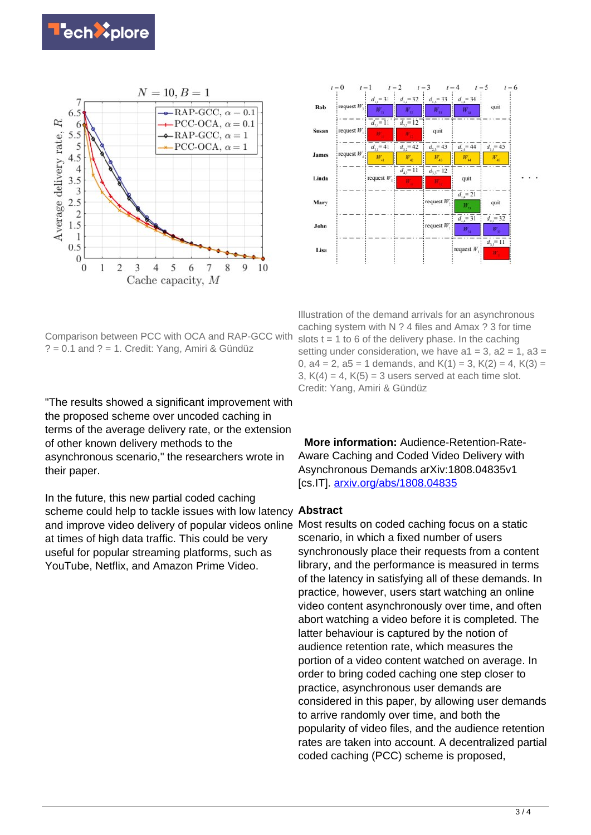



Comparison between PCC with OCA and RAP-GCC with  $? = 0.1$  and  $? = 1$ . Credit: Yang, Amiri & Gündüz

"The results showed a significant improvement with the proposed scheme over uncoded caching in terms of the average delivery rate, or the extension of other known delivery methods to the asynchronous scenario," the researchers wrote in their paper.

In the future, this new partial coded caching scheme could help to tackle issues with low latency **Abstract** and improve video delivery of popular videos online Most results on coded caching focus on a static at times of high data traffic. This could be very useful for popular streaming platforms, such as YouTube, Netflix, and Amazon Prime Video.

Illustration of the demand arrivals for an asynchronous caching system with N ? 4 files and Amax ? 3 for time slots  $t = 1$  to 6 of the delivery phase. In the caching setting under consideration, we have  $a1 = 3$ ,  $a2 = 1$ ,  $a3 =$ 0,  $a4 = 2$ ,  $a5 = 1$  demands, and  $K(1) = 3$ ,  $K(2) = 4$ ,  $K(3) =$ 3,  $K(4) = 4$ ,  $K(5) = 3$  users served at each time slot. Credit: Yang, Amiri & Gündüz

 **More information:** Audience-Retention-Rate-Aware Caching and Coded Video Delivery with Asynchronous Demands arXiv:1808.04835v1 [cs.IT]. [arxiv.org/abs/1808.04835](https://arxiv.org/abs/1808.04835)

scenario, in which a fixed number of users synchronously place their requests from a content library, and the performance is measured in terms of the latency in satisfying all of these demands. In practice, however, users start watching an online video content asynchronously over time, and often abort watching a video before it is completed. The latter behaviour is captured by the notion of audience retention rate, which measures the portion of a video content watched on average. In order to bring coded caching one step closer to practice, asynchronous user demands are considered in this paper, by allowing user demands to arrive randomly over time, and both the popularity of video files, and the audience retention rates are taken into account. A decentralized partial coded caching (PCC) scheme is proposed,